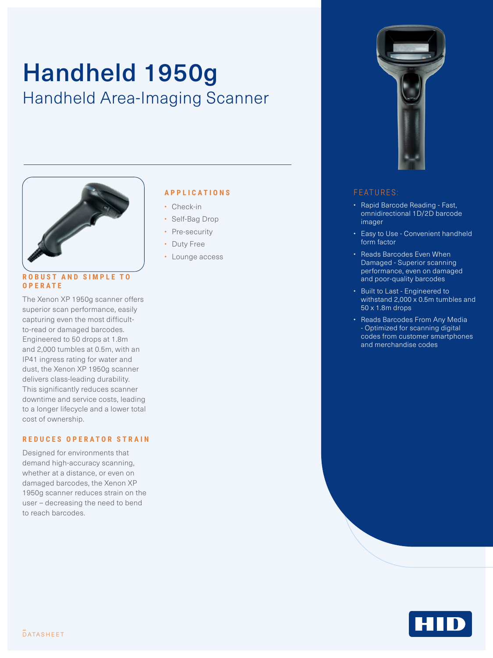# Handheld 1950g Handheld Area-Imaging Scanner



#### **R O B U S T A N D S I M P L E T O OPERATE**

The Xenon XP 1950g scanner offers superior scan performance, easily capturing even the most difficultto-read or damaged barcodes. Engineered to 50 drops at 1.8m and 2,000 tumbles at 0.5m, with an IP41 ingress rating for water and dust, the Xenon XP 1950g scanner delivers class-leading durability. This significantly reduces scanner downtime and service costs, leading to a longer lifecycle and a lower total cost of ownership.

#### **REDUCES OPERATOR STRAIN**

Designed for environments that demand high-accuracy scanning, whether at a distance, or even on damaged barcodes, the Xenon XP 1950g scanner reduces strain on the user – decreasing the need to bend to reach barcodes.

### **APPLICATIONS**

- Check-in
- Self-Bag Drop
- Pre-security
- Duty Free
- Lounge access



#### FEATURES:

- Rapid Barcode Reading Fast, omnidirectional 1D/2D barcode imager
- Easy to Use Convenient handheld form factor
- Reads Barcodes Even When Damaged - Superior scanning performance, even on damaged and poor-quality barcodes
- Built to Last Engineered to withstand  $2,000 \times 0.5$ m tumbles and 50 x 1.8m drops
- Reads Barcodes From Any Media - Optimized for scanning digital codes from customer smartphones and merchandise codes